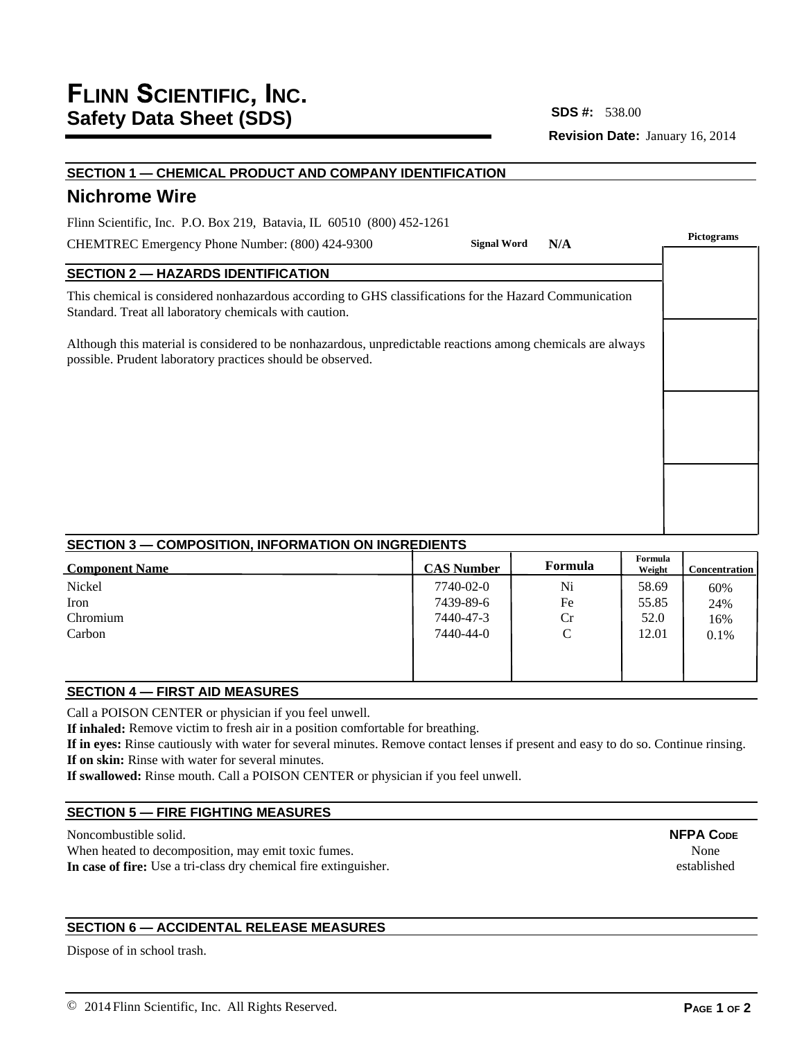**SDS #:**

**Revision Date:** January 16, 2014

| SECTION 1 - CHEMICAL PRODUCT AND COMPANY IDENTIFICATION                                                                                                                   |                           |            |  |  |
|---------------------------------------------------------------------------------------------------------------------------------------------------------------------------|---------------------------|------------|--|--|
| <b>Nichrome Wire</b>                                                                                                                                                      |                           |            |  |  |
| Flinn Scientific, Inc. P.O. Box 219, Batavia, IL 60510 (800) 452-1261                                                                                                     |                           | Pictograms |  |  |
| CHEMTREC Emergency Phone Number: (800) 424-9300                                                                                                                           | <b>Signal Word</b><br>N/A |            |  |  |
| <b>SECTION 2 - HAZARDS IDENTIFICATION</b>                                                                                                                                 |                           |            |  |  |
| This chemical is considered nonhazardous according to GHS classifications for the Hazard Communication<br>Standard. Treat all laboratory chemicals with caution.          |                           |            |  |  |
| Although this material is considered to be nonhazardous, unpredictable reactions among chemicals are always<br>possible. Prudent laboratory practices should be observed. |                           |            |  |  |
|                                                                                                                                                                           |                           |            |  |  |
|                                                                                                                                                                           |                           |            |  |  |
|                                                                                                                                                                           |                           |            |  |  |
|                                                                                                                                                                           |                           |            |  |  |
|                                                                                                                                                                           |                           |            |  |  |
|                                                                                                                                                                           |                           |            |  |  |

## **SECTION 3 — COMPOSITION, INFORMATION ON INGREDIENTS**

| <b>CAS Number</b> | Formula       | Formula<br>Weight | <b>Concentration</b> |
|-------------------|---------------|-------------------|----------------------|
| 7740-02-0         | Ni            | 58.69             | 60%                  |
| 7439-89-6         | Fe            | 55.85             | 24%                  |
| 7440-47-3         | Cr            | 52.0              | 16%                  |
| 7440-44-0         | $\mathcal{C}$ | 12.01             | 0.1%                 |
|                   |               |                   |                      |
|                   |               |                   |                      |
|                   |               |                   |                      |

## **SECTION 4 — FIRST AID MEASURES**

Call a POISON CENTER or physician if you feel unwell.

**If inhaled:** Remove victim to fresh air in a position comfortable for breathing.

**If in eyes:** Rinse cautiously with water for several minutes. Remove contact lenses if present and easy to do so. Continue rinsing. **If on skin:** Rinse with water for several minutes.

**If swallowed:** Rinse mouth. Call a POISON CENTER or physician if you feel unwell.

## **SECTION 5 — FIRE FIGHTING MEASURES**

Noncombustible solid. When heated to decomposition, may emit toxic fumes.

**In case of fire:** Use a tri-class dry chemical fire extinguisher.

# **SECTION 6 — ACCIDENTAL RELEASE MEASURES**

Dispose of in school trash.

**NFPA CODE** None established